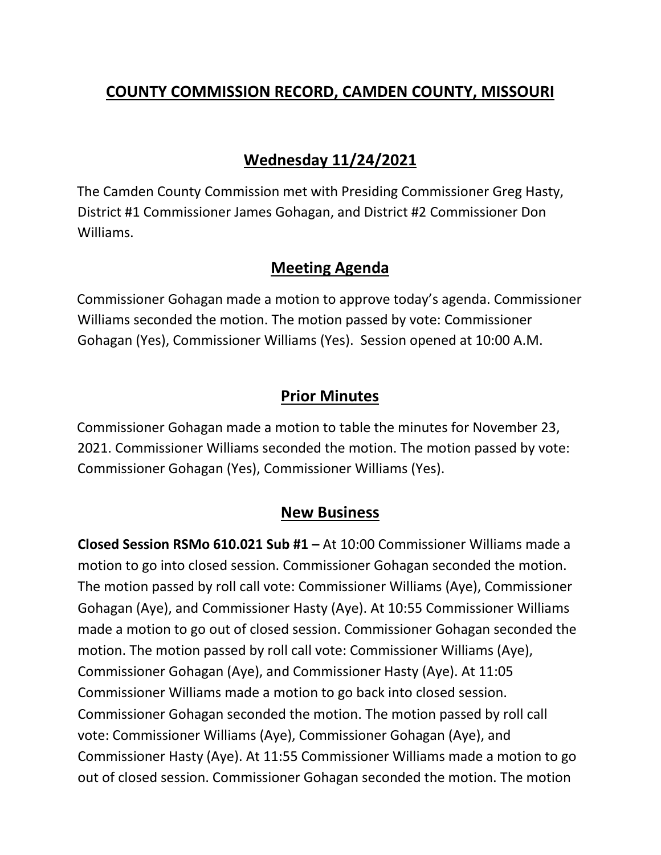# **COUNTY COMMISSION RECORD, CAMDEN COUNTY, MISSOURI**

## **Wednesday 11/24/2021**

The Camden County Commission met with Presiding Commissioner Greg Hasty, District #1 Commissioner James Gohagan, and District #2 Commissioner Don Williams.

### **Meeting Agenda**

Commissioner Gohagan made a motion to approve today's agenda. Commissioner Williams seconded the motion. The motion passed by vote: Commissioner Gohagan (Yes), Commissioner Williams (Yes). Session opened at 10:00 A.M.

## **Prior Minutes**

Commissioner Gohagan made a motion to table the minutes for November 23, 2021. Commissioner Williams seconded the motion. The motion passed by vote: Commissioner Gohagan (Yes), Commissioner Williams (Yes).

## **New Business**

**Closed Session RSMo 610.021 Sub #1 –** At 10:00 Commissioner Williams made a motion to go into closed session. Commissioner Gohagan seconded the motion. The motion passed by roll call vote: Commissioner Williams (Aye), Commissioner Gohagan (Aye), and Commissioner Hasty (Aye). At 10:55 Commissioner Williams made a motion to go out of closed session. Commissioner Gohagan seconded the motion. The motion passed by roll call vote: Commissioner Williams (Aye), Commissioner Gohagan (Aye), and Commissioner Hasty (Aye). At 11:05 Commissioner Williams made a motion to go back into closed session. Commissioner Gohagan seconded the motion. The motion passed by roll call vote: Commissioner Williams (Aye), Commissioner Gohagan (Aye), and Commissioner Hasty (Aye). At 11:55 Commissioner Williams made a motion to go out of closed session. Commissioner Gohagan seconded the motion. The motion